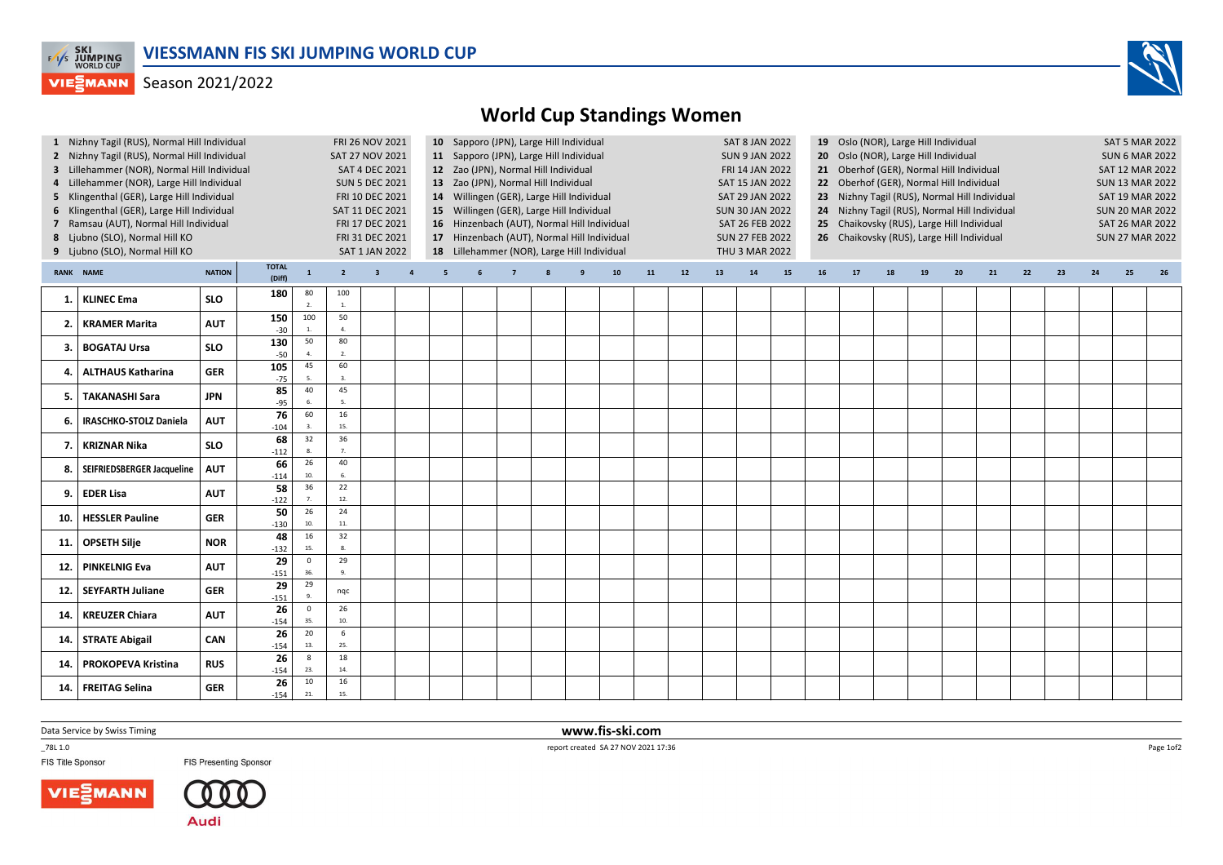

## **VIESMANN** Season 2021/2022



|                                   | 1 Nizhny Tagil (RUS), Normal Hill Individual |            |                        |                         | FRI 26 NOV 2021       |                         |                                         |                                                                                                     | 10 Sapporo (JPN), Large Hill Individual                                                                              |                                             |  |  |    |    | <b>SAT 8 JAN 2022</b><br>19 Oslo (NOR), Large Hill Individual |                                                               |    |    |    |                        |                                            |    |                        |                        | <b>SAT 5 MAR 2022</b> |    |    |    |    |  |
|-----------------------------------|----------------------------------------------|------------|------------------------|-------------------------|-----------------------|-------------------------|-----------------------------------------|-----------------------------------------------------------------------------------------------------|----------------------------------------------------------------------------------------------------------------------|---------------------------------------------|--|--|----|----|---------------------------------------------------------------|---------------------------------------------------------------|----|----|----|------------------------|--------------------------------------------|----|------------------------|------------------------|-----------------------|----|----|----|----|--|
|                                   | 2 Nizhny Tagil (RUS), Normal Hill Individual |            |                        |                         | SAT 27 NOV 2021       |                         | 11 Sapporo (JPN), Large Hill Individual |                                                                                                     |                                                                                                                      |                                             |  |  |    |    |                                                               | <b>SUN 9 JAN 2022</b><br>20 Oslo (NOR), Large Hill Individual |    |    |    |                        |                                            |    |                        |                        | <b>SUN 6 MAR 2022</b> |    |    |    |    |  |
|                                   | 3 Lillehammer (NOR), Normal Hill Individual  |            |                        |                         | <b>SAT 4 DEC 2021</b> |                         | 12 Zao (JPN), Normal Hill Individual    |                                                                                                     |                                                                                                                      |                                             |  |  |    |    |                                                               | 21 Oberhof (GER), Normal Hill Individual<br>FRI 14 JAN 2022   |    |    |    |                        |                                            |    |                        | <b>SAT 12 MAR 2022</b> |                       |    |    |    |    |  |
| 4                                 | Lillehammer (NOR), Large Hill Individual     |            |                        |                         |                       | <b>SUN 5 DEC 2021</b>   |                                         | 13 Zao (JPN), Normal Hill Individual<br>SAT 15 JAN 2022<br>22 Oberhof (GER), Normal Hill Individual |                                                                                                                      |                                             |  |  |    |    |                                                               |                                                               |    |    |    | <b>SUN 13 MAR 2022</b> |                                            |    |                        |                        |                       |    |    |    |    |  |
|                                   | 5 Klingenthal (GER), Large Hill Individual   |            |                        | FRI 10 DEC 2021         |                       |                         |                                         |                                                                                                     | 14 Willingen (GER), Large Hill Individual<br>SAT 29 JAN 2022<br>23 Nizhny Tagil (RUS), Normal Hill Individual        |                                             |  |  |    |    |                                                               |                                                               |    |    |    |                        | <b>SAT 19 MAR 2022</b>                     |    |                        |                        |                       |    |    |    |    |  |
|                                   | 6 Klingenthal (GER), Large Hill Individual   |            |                        | SAT 11 DEC 2021         |                       |                         |                                         |                                                                                                     | 15 Willingen (GER), Large Hill Individual<br><b>SUN 30 JAN 2022</b><br>24 Nizhny Tagil (RUS), Normal Hill Individual |                                             |  |  |    |    |                                                               |                                                               |    |    |    | <b>SUN 20 MAR 2022</b> |                                            |    |                        |                        |                       |    |    |    |    |  |
|                                   | 7 Ramsau (AUT), Normal Hill Individual       |            |                        | FRI 17 DEC 2021         |                       |                         |                                         |                                                                                                     |                                                                                                                      | 16 Hinzenbach (AUT), Normal Hill Individual |  |  |    |    | SAT 26 FEB 2022                                               |                                                               |    |    |    |                        | 25 Chaikovsky (RUS), Large Hill Individual |    | <b>SAT 26 MAR 2022</b> |                        |                       |    |    |    |    |  |
|                                   | 8 Ljubno (SLO), Normal Hill KO               |            |                        | FRI 31 DEC 2021         |                       |                         |                                         |                                                                                                     | 17 Hinzenbach (AUT), Normal Hill Individual                                                                          |                                             |  |  |    |    |                                                               | <b>SUN 27 FEB 2022</b>                                        |    |    |    |                        | 26 Chaikovsky (RUS), Large Hill Individual |    | <b>SUN 27 MAR 2022</b> |                        |                       |    |    |    |    |  |
|                                   | 9 Ljubno (SLO), Normal Hill KO               |            |                        | <b>SAT 1 JAN 2022</b>   |                       |                         |                                         |                                                                                                     | 18 Lillehammer (NOR), Large Hill Individual                                                                          |                                             |  |  |    |    |                                                               | THU 3 MAR 2022                                                |    |    |    |                        |                                            |    |                        |                        |                       |    |    |    |    |  |
| <b>NATION</b><br><b>RANK NAME</b> |                                              |            | <b>TOTAL</b><br>(Diff) | $\mathbf{1}$            | $2^{\circ}$           | $\overline{\mathbf{3}}$ | $\overline{4}$                          | 5                                                                                                   | 6                                                                                                                    |                                             |  |  | 10 | 11 | 12                                                            | 13                                                            | 14 | 15 | 16 | 17                     | 18                                         | 19 | 20                     | 21                     | 22                    | 23 | 24 | 25 | 26 |  |
|                                   |                                              |            | 180                    | 80                      | 100                   |                         |                                         |                                                                                                     |                                                                                                                      |                                             |  |  |    |    |                                                               |                                                               |    |    |    |                        |                                            |    |                        |                        |                       |    |    |    |    |  |
| 1.                                | <b>KLINEC Ema</b>                            | <b>SLO</b> |                        |                         | $\overline{1}$        |                         |                                         |                                                                                                     |                                                                                                                      |                                             |  |  |    |    |                                                               |                                                               |    |    |    |                        |                                            |    |                        |                        |                       |    |    |    |    |  |
| 2.                                | <b>KRAMER Marita</b>                         | <b>AUT</b> | 150                    | 100                     | 50                    |                         |                                         |                                                                                                     |                                                                                                                      |                                             |  |  |    |    |                                                               |                                                               |    |    |    |                        |                                            |    |                        |                        |                       |    |    |    |    |  |
|                                   |                                              |            | $-30$                  |                         | $\overline{a}$        |                         |                                         |                                                                                                     |                                                                                                                      |                                             |  |  |    |    |                                                               |                                                               |    |    |    |                        |                                            |    |                        |                        |                       |    |    |    |    |  |
| 3.                                | <b>BOGATAJ Ursa</b>                          | <b>SLO</b> | 130<br>$-50$           | 50                      | 80<br>2.              |                         |                                         |                                                                                                     |                                                                                                                      |                                             |  |  |    |    |                                                               |                                                               |    |    |    |                        |                                            |    |                        |                        |                       |    |    |    |    |  |
|                                   |                                              |            | 105                    | 45                      | 60                    |                         |                                         |                                                                                                     |                                                                                                                      |                                             |  |  |    |    |                                                               |                                                               |    |    |    |                        |                                            |    |                        |                        |                       |    |    |    |    |  |
|                                   | <b>ALTHAUS Katharina</b>                     | <b>GER</b> | $-75$                  |                         | $\mathbf{3}$          |                         |                                         |                                                                                                     |                                                                                                                      |                                             |  |  |    |    |                                                               |                                                               |    |    |    |                        |                                            |    |                        |                        |                       |    |    |    |    |  |
|                                   | <b>TAKANASHI Sara</b>                        | <b>JPN</b> | 85                     | 40                      | 45                    |                         |                                         |                                                                                                     |                                                                                                                      |                                             |  |  |    |    |                                                               |                                                               |    |    |    |                        |                                            |    |                        |                        |                       |    |    |    |    |  |
| 5.                                |                                              |            | $-95$                  |                         | 5.                    |                         |                                         |                                                                                                     |                                                                                                                      |                                             |  |  |    |    |                                                               |                                                               |    |    |    |                        |                                            |    |                        |                        |                       |    |    |    |    |  |
| 6.                                | <b>IRASCHKO-STOLZ Daniela</b>                | <b>AUT</b> | 76                     | 60                      | 16                    |                         |                                         |                                                                                                     |                                                                                                                      |                                             |  |  |    |    |                                                               |                                                               |    |    |    |                        |                                            |    |                        |                        |                       |    |    |    |    |  |
|                                   |                                              |            | $-104$                 |                         | 15.                   |                         |                                         |                                                                                                     |                                                                                                                      |                                             |  |  |    |    |                                                               |                                                               |    |    |    |                        |                                            |    |                        |                        |                       |    |    |    |    |  |
| 7.                                | <b>KRIZNAR Nika</b>                          | <b>SLO</b> | 68<br>$-112$           | 32                      | 36<br>7.              |                         |                                         |                                                                                                     |                                                                                                                      |                                             |  |  |    |    |                                                               |                                                               |    |    |    |                        |                                            |    |                        |                        |                       |    |    |    |    |  |
| 8.                                |                                              |            | 66                     | 26                      | 40                    |                         |                                         |                                                                                                     |                                                                                                                      |                                             |  |  |    |    |                                                               |                                                               |    |    |    |                        |                                            |    |                        |                        |                       |    |    |    |    |  |
|                                   | SEIFRIEDSBERGER Jacqueline                   | <b>AUT</b> | $-114$                 | 10.                     | 6.                    |                         |                                         |                                                                                                     |                                                                                                                      |                                             |  |  |    |    |                                                               |                                                               |    |    |    |                        |                                            |    |                        |                        |                       |    |    |    |    |  |
|                                   |                                              |            | 58                     | 36                      | 22                    |                         |                                         |                                                                                                     |                                                                                                                      |                                             |  |  |    |    |                                                               |                                                               |    |    |    |                        |                                            |    |                        |                        |                       |    |    |    |    |  |
| 9.                                | <b>EDER Lisa</b>                             | <b>AUT</b> | $-122$                 |                         | 12.                   |                         |                                         |                                                                                                     |                                                                                                                      |                                             |  |  |    |    |                                                               |                                                               |    |    |    |                        |                                            |    |                        |                        |                       |    |    |    |    |  |
| 10.                               | <b>HESSLER Pauline</b>                       | <b>GER</b> | 50                     | 26                      | 24                    |                         |                                         |                                                                                                     |                                                                                                                      |                                             |  |  |    |    |                                                               |                                                               |    |    |    |                        |                                            |    |                        |                        |                       |    |    |    |    |  |
|                                   |                                              |            | $-130$                 | 10                      | 11.                   |                         |                                         |                                                                                                     |                                                                                                                      |                                             |  |  |    |    |                                                               |                                                               |    |    |    |                        |                                            |    |                        |                        |                       |    |    |    |    |  |
| 11.                               | <b>OPSETH Silje</b>                          | <b>NOR</b> | 48                     | 16                      | 32                    |                         |                                         |                                                                                                     |                                                                                                                      |                                             |  |  |    |    |                                                               |                                                               |    |    |    |                        |                                            |    |                        |                        |                       |    |    |    |    |  |
|                                   |                                              |            | $-132$                 | 15                      | 8.                    |                         |                                         |                                                                                                     |                                                                                                                      |                                             |  |  |    |    |                                                               |                                                               |    |    |    |                        |                                            |    |                        |                        |                       |    |    |    |    |  |
| 12.                               | <b>PINKELNIG Eva</b>                         | <b>AUT</b> | 29                     | $\Omega$<br>36          | 29<br>9.              |                         |                                         |                                                                                                     |                                                                                                                      |                                             |  |  |    |    |                                                               |                                                               |    |    |    |                        |                                            |    |                        |                        |                       |    |    |    |    |  |
|                                   |                                              |            | $-151$<br>29           | 29                      |                       |                         |                                         |                                                                                                     |                                                                                                                      |                                             |  |  |    |    |                                                               |                                                               |    |    |    |                        |                                            |    |                        |                        |                       |    |    |    |    |  |
| 12.                               | <b>SEYFARTH Juliane</b>                      | <b>GER</b> | $-151$                 |                         | nqc                   |                         |                                         |                                                                                                     |                                                                                                                      |                                             |  |  |    |    |                                                               |                                                               |    |    |    |                        |                                            |    |                        |                        |                       |    |    |    |    |  |
|                                   |                                              |            | 26                     | $\overline{\mathbf{0}}$ | 26                    |                         |                                         |                                                                                                     |                                                                                                                      |                                             |  |  |    |    |                                                               |                                                               |    |    |    |                        |                                            |    |                        |                        |                       |    |    |    |    |  |
| 14.                               | <b>KREUZER Chiara</b>                        | <b>AUT</b> | $-154$                 | 35                      | 10.                   |                         |                                         |                                                                                                     |                                                                                                                      |                                             |  |  |    |    |                                                               |                                                               |    |    |    |                        |                                            |    |                        |                        |                       |    |    |    |    |  |
|                                   |                                              | <b>CAN</b> | 26                     | 20                      | 6                     |                         |                                         |                                                                                                     |                                                                                                                      |                                             |  |  |    |    |                                                               |                                                               |    |    |    |                        |                                            |    |                        |                        |                       |    |    |    |    |  |
| 14.                               | <b>STRATE Abigail</b>                        |            | $-154$                 | 13.                     | 25.                   |                         |                                         |                                                                                                     |                                                                                                                      |                                             |  |  |    |    |                                                               |                                                               |    |    |    |                        |                                            |    |                        |                        |                       |    |    |    |    |  |
| 14                                | <b>PROKOPEVA Kristina</b>                    | <b>RUS</b> | 26                     | 8                       | 18                    |                         |                                         |                                                                                                     |                                                                                                                      |                                             |  |  |    |    |                                                               |                                                               |    |    |    |                        |                                            |    |                        |                        |                       |    |    |    |    |  |
|                                   |                                              |            | $-154$                 | 23.                     | 14.                   |                         |                                         |                                                                                                     |                                                                                                                      |                                             |  |  |    |    |                                                               |                                                               |    |    |    |                        |                                            |    |                        |                        |                       |    |    |    |    |  |
| 14                                | <b>FREITAG Selina</b>                        |            | 26                     | 10                      | 16                    |                         |                                         |                                                                                                     |                                                                                                                      |                                             |  |  |    |    |                                                               |                                                               |    |    |    |                        |                                            |    |                        |                        |                       |    |    |    |    |  |
|                                   |                                              | <b>GER</b> | $-154$                 | 21.                     | 15.                   |                         |                                         |                                                                                                     |                                                                                                                      |                                             |  |  |    |    |                                                               |                                                               |    |    |    |                        |                                            |    |                        |                        |                       |    |    |    |    |  |

Data Service by Swiss Timing

\_78L 1.0

FIS Title Sponsor





FIS Presenting Sponsor

 www.fis-ski.comreport created SA 27 NOV 2021 17:36

Page 1of2